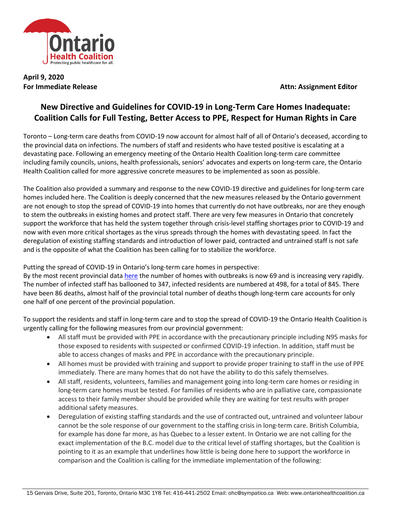

**April 9, 2020**

**For Immediate Release <b>Attn: Assignment Editor** 

## **New Directive and Guidelines for COVID-19 in Long-Term Care Homes Inadequate: Coalition Calls for Full Testing, Better Access to PPE, Respect for Human Rights in Care**

Toronto – Long-term care deaths from COVID-19 now account for almost half of all of Ontario's deceased, according to the provincial data on infections. The numbers of staff and residents who have tested positive is escalating at a devastating pace. Following an emergency meeting of the Ontario Health Coalition long-term care committee including family councils, unions, health professionals, seniors' advocates and experts on long-term care, the Ontario Health Coalition called for more aggressive concrete measures to be implemented as soon as possible.

The Coalition also provided a summary and response to the new COVID-19 directive and guidelines for long-term care homes included here. The Coalition is deeply concerned that the new measures released by the Ontario government are not enough to stop the spread of COVID-19 into homes that currently do not have outbreaks, nor are they enough to stem the outbreaks in existing homes and protect staff. There are very few measures in Ontario that concretely support the workforce that has held the system together through crisis-level staffing shortages prior to COVID-19 and now with even more critical shortages as the virus spreads through the homes with devastating speed. In fact the deregulation of existing staffing standards and introduction of lower paid, contracted and untrained staff is not safe and is the opposite of what the Coalition has been calling for to stabilize the workforce.

Putting the spread of COVID-19 in Ontario's long-term care homes in perspective:

By the most recent provincial data [here](https://files.ontario.ca/moh-covid-19-report-en-2020-04-08.pdf) the number of homes with outbreaks is now 69 and is increasing very rapidly. The number of infected staff has ballooned to 347, infected residents are numbered at 498, for a total of 845. There have been 86 deaths, almost half of the provincial total number of deaths though long-term care accounts for only one half of one percent of the provincial population.

To support the residents and staff in long-term care and to stop the spread of COVID-19 the Ontario Health Coalition is urgently calling for the following measures from our provincial government:

- All staff must be provided with PPE in accordance with the precautionary principle including N95 masks for those exposed to residents with suspected or confirmed COVID-19 infection. In addition, staff must be able to access changes of masks and PPE in accordance with the precautionary principle.
- All homes must be provided with training and support to provide proper training to staff in the use of PPE immediately. There are many homes that do not have the ability to do this safely themselves.
- All staff, residents, volunteers, families and management going into long-term care homes or residing in long-term care homes must be tested. For families of residents who are in palliative care, compassionate access to their family member should be provided while they are waiting for test results with proper additional safety measures.
- Deregulation of existing staffing standards and the use of contracted out, untrained and volunteer labour cannot be the sole response of our government to the staffing crisis in long-term care. British Columbia, for example has done far more, as has Quebec to a lesser extent. In Ontario we are not calling for the exact implementation of the B.C. model due to the critical level of staffing shortages, but the Coalition is pointing to it as an example that underlines how little is being done here to support the workforce in comparison and the Coalition is calling for the immediate implementation of the following: